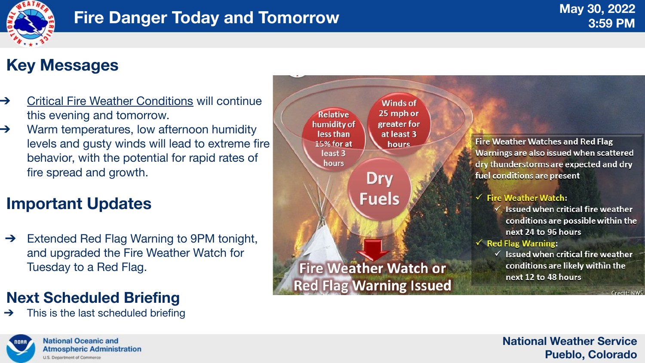**Fire Weather Watches and Red Flag** Warnings are also issued when scattered dry thunderstorms are expected and dry fuel conditions are present

#### $\checkmark$  Fire Weather Watch:

 $\checkmark$  Issued when critical fire weather conditions are possible within the next 24 to 96 hours

#### $\checkmark$  Red Flag Warning:

 $\checkmark$  Issued when critical fire weather conditions are likely within the next 12 to 48 hours

Credit: NWS

#### **National Weather Service Pueblo, Colorado**



## **Key Messages**

- **→** Critical Fire Weather Conditions will continue this evening and tomorrow.
- ➔ Warm temperatures, low afternoon humidity levels and gusty winds will lead to extreme fire behavior, with the potential for rapid rates of fire spread and growth.

# **Important Updates**

➔ Extended Red Flag Warning to 9PM tonight, and upgraded the Fire Weather Watch for Tuesday to a Red Flag.

### **Next Scheduled Briefing**

This is the last scheduled briefing



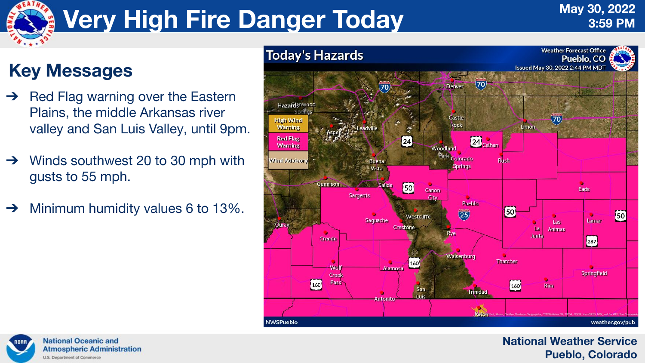#### **National Weather Service Pueblo, Colorado**



# **Very High Fire Danger Today**

# **Key Messages**

- ➔ Red Flag warning over the Eastern Plains, the middle Arkansas river valley and San Luis Valley, until 9pm.
- Winds southwest 20 to 30 mph with gusts to 55 mph.
- ➔ Minimum humidity values 6 to 13%.



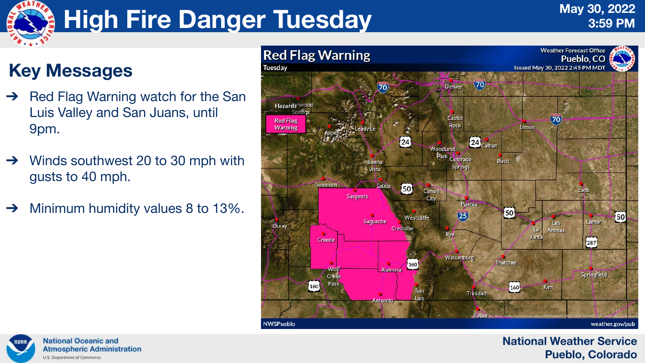#### **National Weather Service Pueblo, Colorado**



# **High Fire Danger Tuesday**

# **Key Messages**

- ➔ Red Flag Warning watch for the San Luis Valley and San Juans, until 9pm.
- Winds southwest 20 to 30 mph with gusts to 40 mph.
- ➔ Minimum humidity values 8 to 13%.